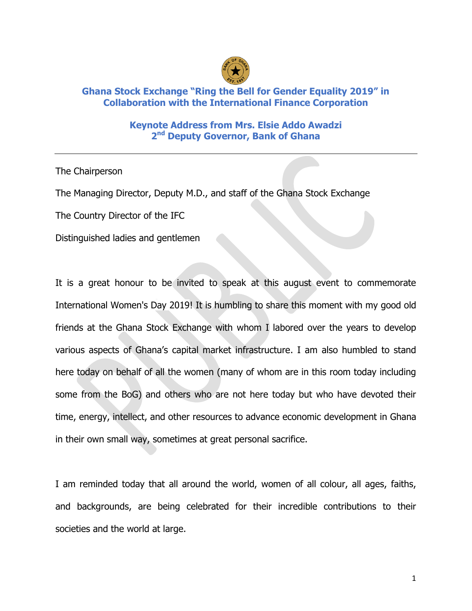

## **Ghana Stock Exchange "Ring the Bell for Gender Equality 2019" in Collaboration with the International Finance Corporation**

**Keynote Address from Mrs. Elsie Addo Awadzi 2 nd Deputy Governor, Bank of Ghana**

The Chairperson

The Managing Director, Deputy M.D., and staff of the Ghana Stock Exchange

The Country Director of the IFC

Distinguished ladies and gentlemen

It is a great honour to be invited to speak at this august event to commemorate International Women's Day 2019! It is humbling to share this moment with my good old friends at the Ghana Stock Exchange with whom I labored over the years to develop various aspects of Ghana's capital market infrastructure. I am also humbled to stand here today on behalf of all the women (many of whom are in this room today including some from the BoG) and others who are not here today but who have devoted their time, energy, intellect, and other resources to advance economic development in Ghana in their own small way, sometimes at great personal sacrifice.

I am reminded today that all around the world, women of all colour, all ages, faiths, and backgrounds, are being celebrated for their incredible contributions to their societies and the world at large.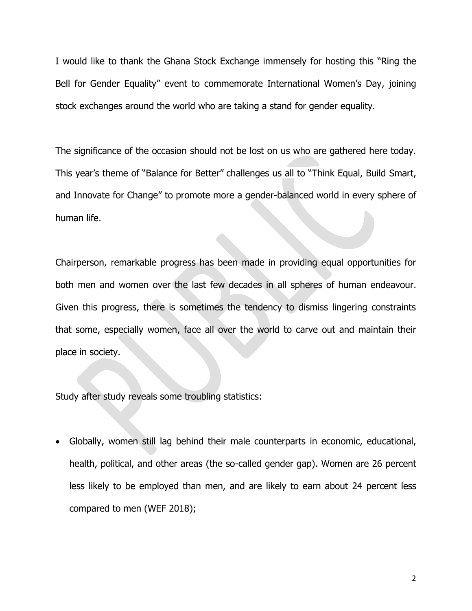I would like to thank the Ghana Stock Exchange immensely for hosting this "Ring the Bell for Gender Equality" event to commemorate International Women's Day, joining stock exchanges around the world who are taking a stand for gender equality.

The significance of the occasion should not be lost on us who are gathered here today. This year's theme of "[Balance](https://www.internationalwomensday.com/Theme) for Better" challenges us all to "Think Equal, Build Smart, and Innovate for Change" to promote more a gender-balanced world in every sphere of human life.

Chairperson, remarkable progress has been made in providing equal opportunities for both men and women over the last few decades in all spheres of human endeavour. Given this progress, there is sometimes the tendency to dismiss lingering constraints that some, especially women, face all over the world to carve out and maintain their place in society.

Study after study reveals some troubling statistics:

 Globally, women still lag behind their male counterparts in economic, educational, health, political, and other areas (the so-called gender gap). Women are 26 percent less likely to be employed than men, and are likely to earn about 24 percent less compared to men (WEF 2018);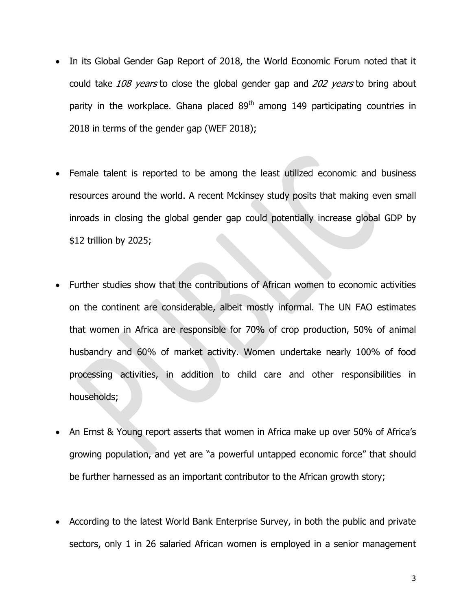- In its Global Gender Gap Report of 2018, the World Economic Forum noted that it could take 108 years to close the global gender gap and 202 years to bring about parity in the workplace. Ghana placed  $89<sup>th</sup>$  among 149 participating countries in 2018 in terms of the gender gap (WEF 2018);
- Female talent is reported to be among the least utilized economic and business resources around the world. A recent Mckinsey study posits that making even small inroads in closing the global gender gap could potentially increase global GDP by \$12 trillion by 2025;
- Further studies show that the contributions of African women to economic activities on the continent are considerable, albeit mostly informal. The UN FAO estimates that women in Africa are responsible for 70% of crop production, 50% of animal husbandry and 60% of market activity. Women undertake nearly 100% of food processing activities, in addition to child care and other responsibilities in households;
- An Ernst & Young report asserts that women in Africa make up over 50% of Africa's growing population, and yet are "[a powerful untapped economic force](http://www.ey.com/Publication/vwLUAssets/Women_of_Africa/%24FILE/Women%20of%20Africa%20final.pdf)" that should be further harnessed as an important contributor to the African growth story;
- According to the latest World Bank Enterprise Survey, in both the public and private sectors, only 1 in 26 salaried African women is employed in a senior management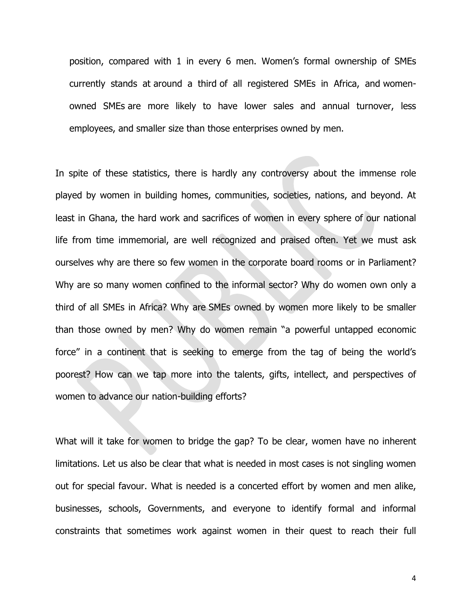position, compared with 1 in every 6 men. Women's formal ownership of SMEs currently stands at [around a third](https://www.ifc.org/wps/wcm/connect/a4774a004a3f66539f0f9f8969adcc27/G20_Women_Report.pdf?MOD=AJPERES) of all registered SMEs in Africa, and [women](http://npa.ug/wp-content/uploads/3rd-CNDPF-Gender-Economic-Productivity-Development.pdf)[owned SMEs](http://npa.ug/wp-content/uploads/3rd-CNDPF-Gender-Economic-Productivity-Development.pdf) are more likely to have lower sales and annual turnover, less employees, and smaller size than those enterprises owned by men.

In spite of these statistics, there is hardly any controversy about the immense role played by women in building homes, communities, societies, nations, and beyond. At least in Ghana, the hard work and sacrifices of women in every sphere of our national life from time immemorial, are well recognized and praised often. Yet we must ask ourselves why are there so few women in the corporate board rooms or in Parliament? Why are so many women confined to the informal sector? Why do women own only a third of all SMEs in Africa? Why are SMEs owned by women more likely to be smaller than those owned by men? Why do women remain "[a powerful untapped economic](http://www.ey.com/Publication/vwLUAssets/Women_of_Africa/%24FILE/Women%20of%20Africa%20final.pdf)  [force](http://www.ey.com/Publication/vwLUAssets/Women_of_Africa/%24FILE/Women%20of%20Africa%20final.pdf)" in a continent that is seeking to emerge from the tag of being the world's poorest? How can we tap more into the talents, gifts, intellect, and perspectives of women to advance our nation-building efforts?

What will it take for women to bridge the gap? To be clear, women have no inherent limitations. Let us also be clear that what is needed in most cases is not singling women out for special favour. What is needed is a concerted effort by women and men alike, businesses, schools, Governments, and everyone to identify formal and informal constraints that sometimes work against women in their quest to reach their full

4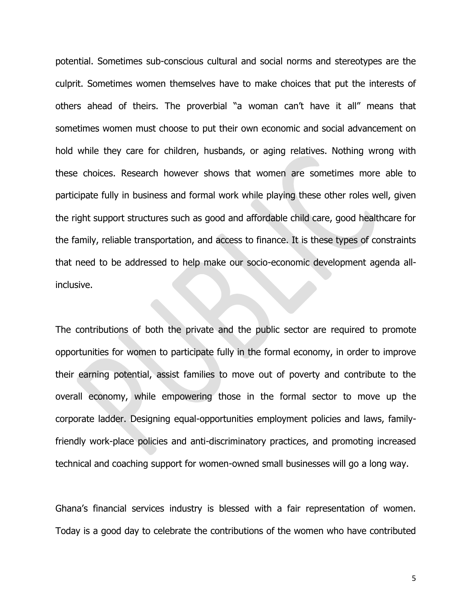potential. Sometimes sub-conscious cultural and social norms and stereotypes are the culprit. Sometimes women themselves have to make choices that put the interests of others ahead of theirs. The proverbial "a woman can't have it all" means that sometimes women must choose to put their own economic and social advancement on hold while they care for children, husbands, or aging relatives. Nothing wrong with these choices. Research however shows that women are sometimes more able to participate fully in business and formal work while playing these other roles well, given the right support structures such as good and affordable child care, good healthcare for the family, reliable transportation, and access to finance. It is these types of constraints that need to be addressed to help make our socio-economic development agenda allinclusive.

The contributions of both the private and the public sector are required to promote opportunities for women to participate fully in the formal economy, in order to improve their earning potential, assist families to move out of poverty and contribute to the overall economy, while empowering those in the formal sector to move up the corporate ladder. Designing equal-opportunities employment policies and laws, familyfriendly work-place policies and anti-discriminatory practices, and promoting increased technical and coaching support for women-owned small businesses will go a long way.

Ghana's financial services industry is blessed with a fair representation of women. Today is a good day to celebrate the contributions of the women who have contributed

5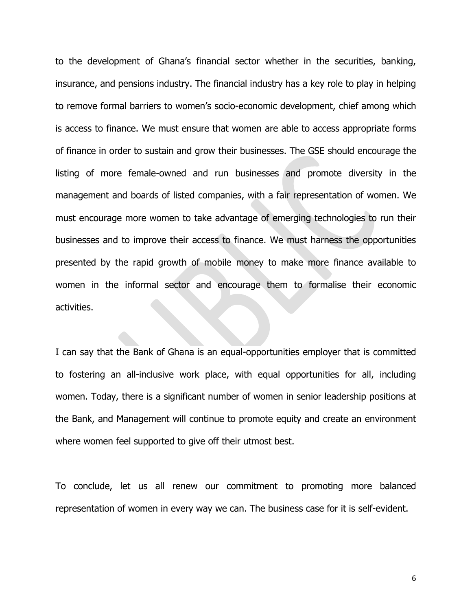to the development of Ghana's financial sector whether in the securities, banking, insurance, and pensions industry. The financial industry has a key role to play in helping to remove formal barriers to women's socio-economic development, chief among which is access to finance. We must ensure that women are able to access appropriate forms of finance in order to sustain and grow their businesses. The GSE should encourage the listing of more female-owned and run businesses and promote diversity in the management and boards of listed companies, with a fair representation of women. We must encourage more women to take advantage of emerging technologies to run their businesses and to improve their access to finance. We must harness the opportunities presented by the rapid growth of mobile money to make more finance available to women in the informal sector and encourage them to formalise their economic activities.

I can say that the Bank of Ghana is an equal-opportunities employer that is committed to fostering an all-inclusive work place, with equal opportunities for all, including women. Today, there is a significant number of women in senior leadership positions at the Bank, and Management will continue to promote equity and create an environment where women feel supported to give off their utmost best.

To conclude, let us all renew our commitment to promoting more balanced representation of women in every way we can. The business case for it is self-evident.

6